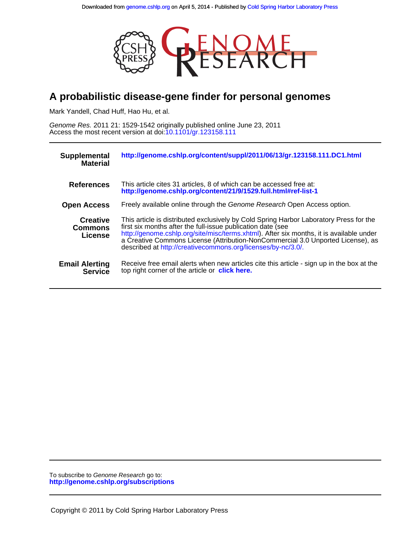

## **A probabilistic disease-gene finder for personal genomes**

Mark Yandell, Chad Huff, Hao Hu, et al.

Access the most recent version at doi[:10.1101/gr.123158.111](http://genome.cshlp.org/lookup/doi/10.1101/gr.123158.111) Genome Res. 2011 21: 1529-1542 originally published online June 23, 2011

| Supplemental<br><b>Material</b>                     | http://genome.cshlp.org/content/suppl/2011/06/13/gr.123158.111.DC1.html                                                                                                                                                                                                                                                                                                                             |
|-----------------------------------------------------|-----------------------------------------------------------------------------------------------------------------------------------------------------------------------------------------------------------------------------------------------------------------------------------------------------------------------------------------------------------------------------------------------------|
| <b>References</b>                                   | This article cites 31 articles, 8 of which can be accessed free at:<br>http://genome.cshlp.org/content/21/9/1529.full.html#ref-list-1                                                                                                                                                                                                                                                               |
| <b>Open Access</b>                                  | Freely available online through the Genome Research Open Access option.                                                                                                                                                                                                                                                                                                                             |
| <b>Creative</b><br><b>Commons</b><br><b>License</b> | This article is distributed exclusively by Cold Spring Harbor Laboratory Press for the<br>first six months after the full-issue publication date (see<br>http://genome.cshlp.org/site/misc/terms.xhtml). After six months, it is available under<br>a Creative Commons License (Attribution-NonCommercial 3.0 Unported License), as<br>described at http://creativecommons.org/licenses/by-nc/3.0/. |
| <b>Email Alerting</b><br><b>Service</b>             | Receive free email alerts when new articles cite this article - sign up in the box at the<br>top right corner of the article or click here.                                                                                                                                                                                                                                                         |

**<http://genome.cshlp.org/subscriptions>** To subscribe to Genome Research go to: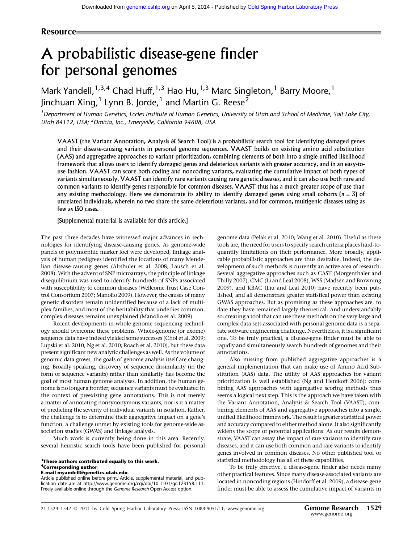## Resource

# A probabilistic disease-gene finder for personal genomes

Mark Yandell,<sup>1,3,4</sup> Chad Huff,<sup>1,3</sup> Hao Hu,<sup>1,3</sup> Marc Singleton,<sup>1</sup> Barry Moore,<sup>1</sup> Jinchuan Xing,<sup>1</sup> Lynn B. Jorde,<sup>1</sup> and Martin G. Reese<sup>2</sup>

<sup>1</sup> Department of Human Genetics, Eccles Institute of Human Genetics, University of Utah and School of Medicine, Salt Lake City, Utah 84112, USA; <sup>2</sup>Omicia, Inc., Emeryville, California 94608, USA

VAAST (the Variant Annotation, Analysis & Search Tool) is a probabilistic search tool for identifying damaged genes and their disease-causing variants in personal genome sequences. VAAST builds on existing amino acid substitution (AAS) and aggregative approaches to variant prioritization, combining elements of both into a single unified likelihood framework that allows users to identify damaged genes and deleterious variants with greater accuracy, and in an easy-touse fashion. VAAST can score both coding and noncoding variants, evaluating the cumulative impact of both types of variants simultaneously. VAAST can identify rare variants causing rare genetic diseases, and it can also use both rare and common variants to identify genes responsible for common diseases. VAAST thus has a much greater scope of use than any existing methodology. Here we demonstrate its ability to identify damaged genes using small cohorts ( $n = 3$ ) of unrelated individuals, wherein no two share the same deleterious variants, and for common, multigenic diseases using as few as 150 cases.

[Supplemental material is available for this article.]

The past three decades have witnessed major advances in technologies for identifying disease-causing genes. As genome-wide panels of polymorphic marker loci were developed, linkage analysis of human pedigrees identified the locations of many Mendelian disease-causing genes (Altshuler et al. 2008; Lausch et al. 2008). With the advent of SNP microarrays, the principle of linkage disequilibrium was used to identify hundreds of SNPs associated with susceptibility to common diseases (Wellcome Trust Case Control Consortium 2007; Manolio 2009). However, the causes of many genetic disorders remain unidentified because of a lack of multiplex families, and most of the heritability that underlies common, complex diseases remains unexplained (Manolio et al. 2009).

Recent developments in whole-genome sequencing technology should overcome these problems. Whole-genome (or exome) sequence data have indeed yielded some successes (Choi et al. 2009; Lupski et al. 2010; Ng et al. 2010; Roach et al. 2010), but these data present significant new analytic challenges as well. As the volume of genomic data grows, the goals of genome analysis itself are changing. Broadly speaking, discovery of sequence dissimilarity (in the form of sequence variants) rather than similarity has become the goal of most human genome analyses. In addition, the human genome is no longer a frontier; sequence variants must be evaluated in the context of preexisting gene annotations. This is not merely a matter of annotating nonsynonymous variants, nor is it a matter of predicting the severity of individual variants in isolation. Rather, the challenge is to determine their aggregative impact on a gene's function, a challenge unmet by existing tools for genome-wide association studies (GWAS) and linkage analysis.

Much work is currently being done in this area. Recently, several heuristic search tools have been published for personal

#### $3$ These authors contributed equally to this work. <sup>4</sup>Corresponding author.

E-mail [myandell@genetics.utah.edu](mailto:myandell@genetics.utah.edu).

Article published online before print. Article, supplemental material, and publication date are at http://www.genome.org/cgi/doi/10.1101/gr.123158.111.<br>Freely available online through the G*enome Research* Open Access option.

genome data (Pelak et al. 2010; Wang et al. 2010). Useful as these tools are, the need for users to specify search criteria places hard-toquantify limitations on their performance. More broadly, applicable probabilistic approaches are thus desirable. Indeed, the development of such methods is currently an active area of research. Several aggregative approaches such as CAST (Morgenthaler and Thilly 2007), CMC (Li and Leal 2008), WSS (Madsen and Browning 2009), and KBAC (Liu and Leal 2010) have recently been published, and all demonstrate greater statistical power than existing GWAS approaches. But as promising as these approaches are, to date they have remained largely theoretical. And understandably so: creating a tool that can use these methods on the very large and complex data sets associated with personal genome data is a separate software engineering challenge. Nevertheless, it is a significant one. To be truly practical, a disease-gene finder must be able to rapidly and simultaneously search hundreds of genomes and their annotations.

Also missing from published aggregative approaches is a general implementation that can make use of Amino Acid Substitution (AAS) data. The utility of AAS approaches for variant prioritization is well established (Ng and Henikoff 2006); combining AAS approaches with aggregative scoring methods thus seems a logical next step. This is the approach we have taken with the Variant Annotation, Analysis & Search Tool (VAAST), combining elements of AAS and aggregative approaches into a single, unified likelihood framework. The result is greater statistical power and accuracy compared to either method alone. It also significantly widens the scope of potential applications. As our results demonstrate, VAAST can assay the impact of rare variants to identify rare diseases, and it can use both common and rare variants to identify genes involved in common diseases. No other published tool or statistical methodology has all of these capabilities.

To be truly effective, a disease-gene finder also needs many other practical features. Since many disease-associated variants are located in noncoding regions (Hindorff et al. 2009), a disease-gene finder must be able to assess the cumulative impact of variants in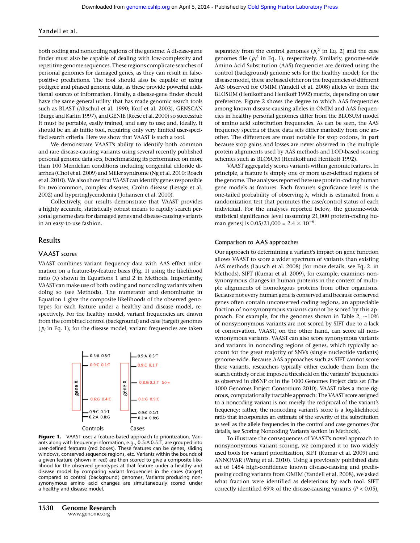both coding and noncoding regions of the genome. A disease-gene finder must also be capable of dealing with low-complexity and repetitive genome sequences. These regions complicate searches of personal genomes for damaged genes, as they can result in falsepositive predictions. The tool should also be capable of using pedigree and phased genome data, as these provide powerful additional sources of information. Finally, a disease-gene finder should have the same general utility that has made genomic search tools such as BLAST (Altschul et al. 1990; Korf et al. 2003), GENSCAN (Burge and Karlin 1997), and GENIE (Reese et al. 2000) so successful: It must be portable, easily trained, and easy to use; and, ideally, it should be an ab initio tool, requiring only very limited user-specified search criteria. Here we show that VAAST is such a tool.

We demonstrate VAAST's ability to identify both common and rare disease-causing variants using several recently published personal genome data sets, benchmarking its performance on more than 100 Mendelian conditions including congenital chloride diarrhea (Choi et al. 2009) and Miller syndrome (Ng et al. 2010; Roach et al. 2010). We also show that VAASTcan identify genes responsible for two common, complex diseases, Crohn disease (Lesage et al. 2002) and hypertriglyceridemia ( Johansen et al. 2010).

Collectively, our results demonstrate that VAAST provides a highly accurate, statistically robust means to rapidly search personal genome data for damaged genes and disease-causing variants in an easy-to-use fashion.

## Results

## VAAST scores

VAAST combines variant frequency data with AAS effect information on a feature-by-feature basis (Fig. 1) using the likelihood ratio  $(\lambda)$  shown in Equations 1 and 2 in Methods. Importantly, VAAST can make use of both coding and noncoding variants when doing so (see Methods). The numerator and denominator in Equation 1 give the composite likelihoods of the observed genotypes for each feature under a healthy and disease model, respectively. For the healthy model, variant frequencies are drawn from the combined control (background) and case (target) genomes ( $p_i$  in Eq. 1); for the disease model, variant frequencies are taken



Figure 1. VAAST uses a feature-based approach to prioritization. Variants along with frequency information, e.g., 0.5:A 0.5:T, are grouped into user-defined features (red boxes). These features can be genes, sliding windows, conserved sequence regions, etc. Variants within the bounds of a given feature (shown in red) are then scored to give a composite likelihood for the observed genotypes at that feature under a healthy and disease model by comparing variant frequencies in the cases (target) compared to control (background) genomes. Variants producing nonsynonymous amino acid changes are simultaneously scored under a healthy and disease model.

separately from the control genomes ( $p_i^U$  in Eq. 2) and the case genomes file ( $p_i^A$  in Eq. 1), respectively. Similarly, genome-wide Amino Acid Substitution (AAS) frequencies are derived using the control (background) genome sets for the healthy model; for the disease model, these are based either on the frequencies of different AAS observed for OMIM (Yandell et al. 2008) alleles or from the BLOSUM (Henikoff and Henikoff 1992) matrix, depending on user preference. Figure 2 shows the degree to which AAS frequencies among known disease-causing alleles in OMIM and AAS frequencies in healthy personal genomes differ from the BLOSUM model of amino acid substitution frequencies. As can be seen, the AAS frequency spectra of these data sets differ markedly from one another. The differences are most notable for stop codons, in part because stop gains and losses are never observed in the multiple protein alignments used by AAS methods and LOD-based scoring schemes such as BLOSUM (Henikoff and Henikoff 1992).

VAAST aggregately scores variants within genomic features. In principle, a feature is simply one or more user-defined regions of the genome. The analyses reported here use protein-coding human gene models as features. Each feature's significance level is the one-tailed probability of observing  $\lambda$ , which is estimated from a randomization test that permutes the case/control status of each individual. For the analyses reported below, the genome-wide statistical significance level (assuming 21,000 protein-coding human genes) is  $0.05/21,000 = 2.4 \times 10^{-6}$ .

## Comparison to AAS approaches

Our approach to determining a variant's impact on gene function allows VAAST to score a wider spectrum of variants than existing AAS methods (Lausch et al. 2008) (for more details, see Eq. 2. in Methods). SIFT (Kumar et al. 2009), for example, examines nonsynonymous changes in human proteins in the context of multiple alignments of homologous proteins from other organisms. Because not every human gene is conserved and because conserved genes often contain unconserved coding regions, an appreciable fraction of nonsynonymous variants cannot be scored by this approach. For example, for the genomes shown in Table 2,  $\sim$ 10% of nonsynonymous variants are not scored by SIFT due to a lack of conservation. VAAST, on the other hand, can score all nonsynonymous variants. VAAST can also score synonymous variants and variants in noncoding regions of genes, which typically account for the great majority of SNVs (single nucleotide variants) genome-wide. Because AAS approaches such as SIFT cannot score these variants, researchers typically either exclude them from the search entirely or else impose a threshold on the variants' frequencies as observed in dbSNP or in the 1000 Genomes Project data set (The 1000 Genomes Project Consortium 2010). VAAST takes a more rigorous, computationally tractable approach: The VAAST score assigned to a noncoding variant is not merely the reciprocal of the variant's frequency; rather, the noncoding variant's score is a log-likelihood ratio that incorporates an estimate of the severity of the substitution as well as the allele frequencies in the control and case genomes (for details, see Scoring Noncoding Variants section in Methods).

To illustrate the consequences of VAAST's novel approach to nonsynonymous variant scoring, we compared it to two widely used tools for variant prioritization, SIFT (Kumar et al. 2009) and ANNOVAR (Wang et al. 2010). Using a previously published data set of 1454 high-confidence known disease-causing and predisposing coding variants from OMIM (Yandell et al. 2008), we asked what fraction were identified as deleterious by each tool. SIFT correctly identified 69% of the disease-causing variants ( $P < 0.05$ ),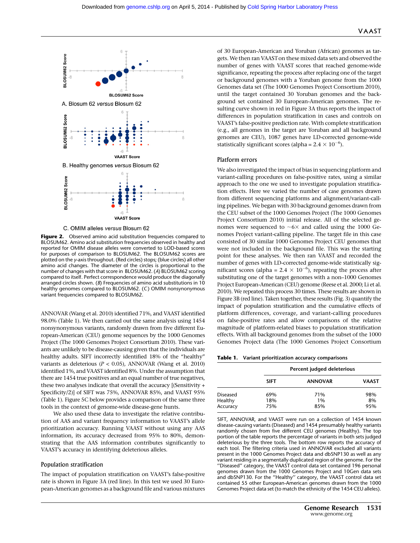

C. OMIM alleles versus Blosum 62

Figure 2. Observed amino acid substitution frequencies compared to BLOSUM62. Amino acid substitution frequencies observed in healthy and reported for OMIM disease alleles were converted to LOD-based scores for purposes of comparison to BLOSUM62. The BLOSUM62 scores are plotted on the y-axis throughout. (Red circles) stops; (blue circles) all other amino acid changes. The diameter of the circles is proportional to the number of changes with that score in BLOSUM62. (A) BLOSUM62 scoring compared to itself. Perfect correspondence would produce the diagonally arranged circles shown. (B) Frequencies of amino acid substitutions in 10 healthy genomes compared to BLOSUM62. (C) OMIM nonsynonymous variant frequencies compared to BLOSUM62.

ANNOVAR (Wang et al. 2010) identified 71%, and VAAST identified 98.0% (Table 1). We then carried out the same analysis using 1454 nonsynonymous variants, randomly drawn from five different European-American (CEU) genome sequences by the 1000 Genomes Project (The 1000 Genomes Project Consortium 2010). These variants are unlikely to be disease-causing given that the individuals are healthy adults. SIFT incorrectly identified 18% of the ''healthy'' variants as deleterious ( $P < 0.05$ ), ANNOVAR (Wang et al. 2010) identified 1%, and VAAST identified 8%. Under the assumption that there are 1454 true positives and an equal number of true negatives, these two analyses indicate that overall the accuracy [(Sensitivity + Specificity/2)] of SIFT was 75%, ANNOVAR 85%, and VAAST 95% (Table 1). Figure 5C below provides a comparison of the same three tools in the context of genome-wide disease-gene hunts.

We also used these data to investigate the relative contribution of AAS and variant frequency information to VAAST's allele prioritization accuracy. Running VAAST without using any AAS information, its accuracy decreased from 95% to 80%, demonstrating that the AAS information contributes significantly to VAAST's accuracy in identifying deleterious alleles.

#### Population stratification

The impact of population stratification on VAAST's false-positive rate is shown in Figure 3A (red line). In this test we used 30 European-American genomes as a background file and various mixtures of 30 European-American and Yoruban (African) genomes as targets. We then ran VAAST on these mixed data sets and observed the number of genes with VAAST scores that reached genome-wide significance, repeating the process after replacing one of the target or background genomes with a Yoruban genome from the 1000 Genomes data set (The 1000 Genomes Project Consortium 2010), until the target contained 30 Yoruban genomes and the background set contained 30 European-American genomes. The resulting curve shown in red in Figure 3A thus reports the impact of differences in population stratification in cases and controls on VAAST's false-positive prediction rate. With complete stratification (e.g., all genomes in the target are Yoruban and all background genomes are CEU), 1087 genes have LD-corrected genome-wide statistically significant scores (alpha =  $2.4 \times 10^{-6}$ ).

## Platform errors

We also investigated the impact of bias in sequencing platform and variant-calling procedures on false-positive rates, using a similar approach to the one we used to investigate population stratification effects. Here we varied the number of case genomes drawn from different sequencing platforms and alignment/variant-calling pipelines. We began with 30 background genomes drawn from the CEU subset of the 1000 Genomes Project (The 1000 Genomes Project Consortium 2010) initial release. All of the selected genomes were sequenced to  $\sim6\times$  and called using the 1000 Genomes Project variant-calling pipeline. The target file in this case consisted of 30 similar 1000 Genomes Project CEU genomes that were not included in the background file. This was the starting point for these analyses. We then ran VAAST and recorded the number of genes with LD-corrected genome-wide statistically significant scores (alpha =  $2.4 \times 10^{-6}$ ), repeating the process after substituting one of the target genomes with a non–1000 Genomes Project European-American (CEU) genome (Reese et al. 2000; Li et al. 2010). We repeated this process 30 times. These results are shown in Figure 3B (red line). Taken together, these results (Fig. 3) quantify the impact of population stratification and the cumulative effects of platform differences, coverage, and variant-calling procedures on false-positive rates and allow comparisons of the relative magnitude of platform-related biases to population stratification effects. With all background genomes from the subset of the 1000 Genomes Project data (The 1000 Genomes Project Consortium

Table 1. Variant prioritization accuracy comparisons

|                                        |                   | Percent judged deleterious |                  |  |  |  |
|----------------------------------------|-------------------|----------------------------|------------------|--|--|--|
|                                        | <b>SIFT</b>       | <b>ANNOVAR</b>             | VAAST            |  |  |  |
| <b>Diseased</b><br>Healthy<br>Accuracy | 69%<br>18%<br>75% | 71%<br>$1\%$<br>85%        | 98%<br>8%<br>95% |  |  |  |

SIFT, ANNOVAR, and VAAST were run on a collection of 1454 known disease-causing variants (Diseased) and 1454 presumably healthy variants randomly chosen from five different CEU genomes (Healthy). The top portion of the table reports the percentage of variants in both sets judged deleterious by the three tools. The bottom row reports the accuracy of each tool. The filtering criteria used in ANNOVAR excluded all variants present in the 1000 Genomes Project data and dbSNP130 as well as any variant residing in a segmentally duplicated region of the genome. For the ''Diseased'' category, the VAAST control data set contained 196 personal genomes drawn from the 1000 Genomes Project and 10Gen data sets and dbSNP130. For the ''Healthy'' category, the VAAST control data set contained 55 other European-American genomes drawn from the 1000 Genomes Project data set (to match the ethnicity of the 1454 CEU alleles).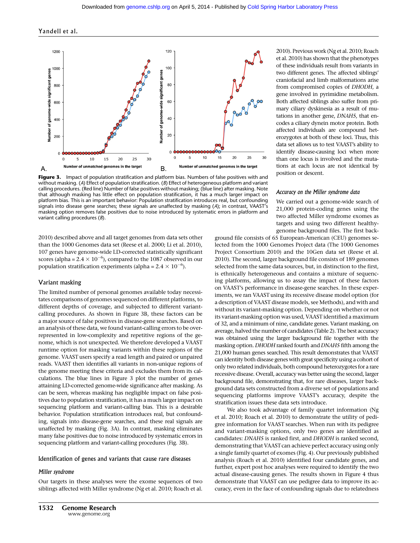

Figure 3. Impact of population stratification and platform bias. Numbers of false positives with and without masking. (A) Effect of population stratification. (B) Effect of heterogeneous platform and variant calling procedures. (Red line) Number of false positives without masking; (blue line) after masking. Note that although masking has little effect on population stratification, it has a much larger impact on platform bias. This is an important behavior: Population stratification introduces real, but confounding signals into disease gene searches; these signals are unaffected by masking  $(A)$ ; in contrast, VAAST's masking option removes false positives due to noise introduced by systematic errors in platform and variant calling procedures (B).

2010) described above and all target genomes from data sets other than the 1000 Genomes data set (Reese et al. 2000; Li et al. 2010), 107 genes have genome-wide LD-corrected statistically significant scores (alpha = 2.4  $\times$  10<sup>-6</sup>), compared to the 1087 observed in our population stratification experiments (alpha =  $2.4 \times 10^{-6}$ ).

## Variant masking

The limited number of personal genomes available today necessitates comparisons of genomes sequenced on different platforms, to different depths of coverage, and subjected to different variantcalling procedures. As shown in Figure 3B, these factors can be a major source of false positives in disease-gene searches. Based on an analysis of these data, we found variant-calling errors to be overrepresented in low-complexity and repetitive regions of the genome, which is not unexpected. We therefore developed a VAAST runtime option for masking variants within these regions of the genome. VAAST users specify a read length and paired or unpaired reads. VAAST then identifies all variants in non-unique regions of the genome meeting these criteria and excludes them from its calculations. The blue lines in Figure 3 plot the number of genes attaining LD-corrected genome-wide significance after masking. As can be seen, whereas masking has negligible impact on false positives due to population stratification, it has a much larger impact on sequencing platform and variant-calling bias. This is a desirable behavior. Population stratification introduces real, but confounding, signals into disease-gene searches, and these real signals are unaffected by masking (Fig. 3A). In contrast, masking eliminates many false positives due to noise introduced by systematic errors in sequencing platform and variant-calling procedures (Fig. 3B).

## Identification of genes and variants that cause rare diseases

## Miller syndrome

Our targets in these analyses were the exome sequences of two siblings affected with Miller syndrome (Ng et al. 2010; Roach et al. 2010). Previous work (Ng et al. 2010; Roach et al. 2010) has shown that the phenotypes of these individuals result from variants in two different genes. The affected siblings' craniofacial and limb malformations arise from compromised copies of DHODH, a gene involved in pyrimidine metabolism. Both affected siblings also suffer from primary ciliary dyskinesia as a result of mutations in another gene, DNAH5, that encodes a ciliary dynein motor protein. Both affected individuals are compound heterozygotes at both of these loci. Thus, this data set allows us to test VAAST's ability to identify disease-causing loci when more than one locus is involved and the mutations at each locus are not identical by position or descent.

#### Accuracy on the Miller syndrome data

We carried out a genome-wide search of 21,000 protein-coding genes using the two affected Miller syndrome exomes as targets and using two different healthygenome background files. The first back-

ground file consists of 65 European-American (CEU) genomes selected from the 1000 Genomes Project data (The 1000 Genomes Project Consortium 2010) and the 10Gen data set (Reese et al. 2010). The second, larger background file consists of 189 genomes selected from the same data sources, but, in distinction to the first, is ethnically heterogeneous and contains a mixture of sequencing platforms, allowing us to assay the impact of these factors on VAAST's performance in disease-gene searches. In these experiments, we ran VAAST using its recessive disease model option (for a description of VAAST disease models, see Methods), and with and without its variant-masking option. Depending on whether or not its variant-masking option was used, VAAST identified a maximum of 32, and a minimum of nine, candidate genes. Variant masking, on average, halved the number of candidates (Table 2). The best accuracy was obtained using the larger background file together with the masking option. DHODH ranked fourth and DNAH5 fifth among the 21,000 human genes searched. This result demonstrates that VAAST can identity both disease genes with great specificity using a cohort of only two related individuals, both compound heterozygotes for a rare recessive disease. Overall, accuracy was better using the second, larger background file, demonstrating that, for rare diseases, larger background data sets constructed from a diverse set of populations and sequencing platforms improve VAAST's accuracy, despite the stratification issues these data sets introduce.

We also took advantage of family quartet information (Ng et al. 2010; Roach et al. 2010) to demonstrate the utility of pedigree information for VAAST searches. When run with its pedigree and variant-masking options, only two genes are identified as candidates: DNAH5 is ranked first, and DHODH is ranked second, demonstrating that VAAST can achieve perfect accuracy using only a single family quartet of exomes (Fig. 4). Our previously published analysis (Roach et al. 2010) identified four candidate genes, and further, expert post hoc analyses were required to identify the two actual disease-causing genes. The results shown in Figure 4 thus demonstrate that VAAST can use pedigree data to improve its accuracy, even in the face of confounding signals due to relatedness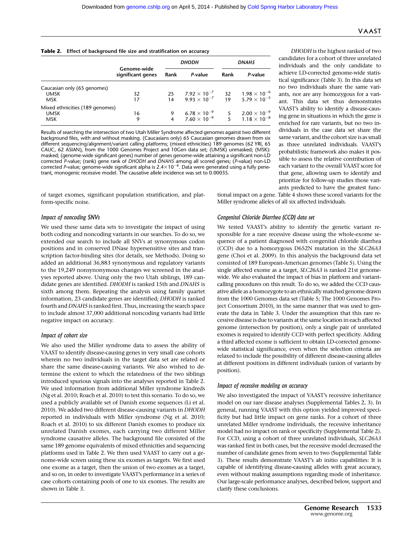## Table 2. Effect of background file size and stratification on accuracy

|                                 |                                  |      | <b>DHODH</b>                                   | <b>DNAH5</b> |                       |
|---------------------------------|----------------------------------|------|------------------------------------------------|--------------|-----------------------|
|                                 | Genome-wide<br>significant genes | Rank | P-value                                        | Rank         | P-value               |
| Caucasian only (65 genomes)     |                                  |      |                                                |              |                       |
| <b>UMSK</b>                     | 32                               | 25   | $7.92 \times 10^{-7}$ 32                       |              | $1.98\times10^{-6}$   |
| <b>MSK</b>                      | 17                               | 14   | $9.93 \times 10^{-7}$ 19 $5.79 \times 10^{-5}$ |              |                       |
| Mixed ethnicities (189 genomes) |                                  |      |                                                |              |                       |
| <b>UMSK</b>                     | 16                               | 9    | 6.78 $\times$ 10 <sup>-9</sup>                 | 5            | $2.00 \times 10^{-9}$ |
| MSK                             | 9                                |      | $7.60 \times 10^{-9}$                          | $\sqrt{2}$   | $1.18 \times 10^{-8}$ |

Results of searching the intersection of two Utah Miller Syndrome affected genomes against two different background files, with and without masking. (Caucasians only) 65 Caucasian genomes drawn from six different sequencing/alignment/variant calling platforms; (mixed ethnicities) 189 genomes (62 YRI, 65 CAUC, 62 ASIAN), from the 1000 Genomes Project and 10Gen data set; (UMSK) unmasked; (MSK): masked; (genome-wide significant genes) number of genes genome-wide attaining a significant non-LD corrected P-value; (rank) gene rank of DHODH and DNAH5 among all scored genes; (P-value) non-LD corrected P-value; genome-wide significant alpha is 2.4 $\times$ 10<sup>-6</sup>. Data were generated using a fully penetrant, monogenic recessive model. The causative allele incidence was set to 0.00035.

of target exomes, significant population stratification, and platform-specific noise.

## Impact of noncoding SNVs

We used these same data sets to investigate the impact of using both coding and noncoding variants in our searches. To do so, we extended our search to include all SNVs at synonymous codon positions and in conserved DNase hypersensitive sites and transcription factor-binding sites (for details, see Methods). Doing so added an additional 36,883 synonymous and regulatory variants to the 19,249 nonsynonymous changes we screened in the analyses reported above. Using only the two Utah siblings, 189 candidate genes are identified. DHODH is ranked 15th and DNAH5 is sixth among them. Repeating the analysis using family quartet information, 23 candidate genes are identified; DHODH is ranked fourth and DNAH5 is ranked first. Thus, increasing the search space to include almost 37,000 additional noncoding variants had little negative impact on accuracy.

## Impact of cohort size

We also used the Miller syndrome data to assess the ability of VAAST to identify disease-causing genes in very small case cohorts wherein no two individuals in the target data set are related or share the same disease-causing variants. We also wished to determine the extent to which the relatedness of the two siblings introduced spurious signals into the analyses reported in Table 2. We used information from additional Miller syndrome kindreds (Ng et al. 2010; Roach et al. 2010) to test this scenario. To do so, we used a publicly available set of Danish exome sequences (Li et al. 2010). We added two different disease-causing variants in DHODH reported in individuals with Miller syndrome (Ng et al. 2010; Roach et al. 2010) to six different Danish exomes to produce six unrelated Danish exomes, each carrying two different Miller syndrome causative alleles. The background file consisted of the same 189 genome equivalents of mixed ethnicities and sequencing platforms used in Table 2. We then used VAAST to carry out a genome-wide screen using these six exomes as targets. We first used one exome as a target, then the union of two exomes as a target, and so on, in order to investigate VAAST's performance in a series of case cohorts containing pools of one to six exomes. The results are shown in Table 3.

DHODH is the highest ranked of two candidates for a cohort of three unrelated individuals and the only candidate to achieve LD-corrected genome-wide statistical significance (Table 3). In this data set no two individuals share the same variants, nor are any homozygous for a variant. This data set thus demonstrates VAAST's ability to identify a disease-causing gene in situations in which the gene is enriched for rare variants, but no two individuals in the case data set share the same variant, and the cohort size is as small as three unrelated individuals. VAAST's probabilistic framework also makes it possible to assess the relative contribution of each variant to the overall VAAST score for that gene, allowing users to identify and prioritize for follow-up studies those variants predicted to have the greatest func-

tional impact on a gene. Table 4 shows these scored variants for the Miller syndrome alleles of all six affected individuals.

## Congenital Chloride Diarrhea (CCD) data set

We tested VAAST's ability to identify the genetic variant responsible for a rare recessive disease using the whole-exome sequence of a patient diagnosed with congenital chloride diarrhea (CCD) due to a homozygous D652N mutation in the SLC26A3 gene (Choi et al. 2009). In this analysis the background data set consisted of 189 European-American genomes (Table 5). Using the single affected exome as a target, SLC26A3 is ranked 21st genomewide. We also evaluated the impact of bias in platform and variantcalling procedures on this result. To do so, we added the CCD causative allele as a homozygote to an ethnically matched genome drawn from the 1000 Genomes data set (Table 5; The 1000 Genomes Project Consortium 2010), in the same manner that was used to generate the data in Table 3. Under the assumption that this rare recessive disease is due to variants at the same location in each affected genome (intersection by position), only a single pair of unrelated exomes is required to identify CCD with perfect specificity. Adding a third affected exome is sufficient to obtain LD-corrected genomewide statistical significance, even when the selection criteria are relaxed to include the possibility of different disease-causing alleles at different positions in different individuals (union of variants by position).

## Impact of recessive modeling on accuracy

We also investigated the impact of VAAST's recessive inheritance model on our rare disease analyses (Supplemental Tables 2, 3). In general, running VAAST with this option yielded improved specificity but had little impact on gene ranks. For a cohort of three unrelated Miller syndrome individuals, the recessive inheritance model had no impact on rank or specificity (Supplemental Table 2). For CCD, using a cohort of three unrelated individuals, SLC26A3 was ranked first in both cases, but the recessive model decreased the number of candidate genes from seven to two (Supplemental Table 3). These results demonstrate VAAST's ab initio capabilities: It is capable of identifying disease-causing alleles with great accuracy, even without making assumptions regarding mode of inheritance. Our large-scale performance analyses, described below, support and clarify these conclusions.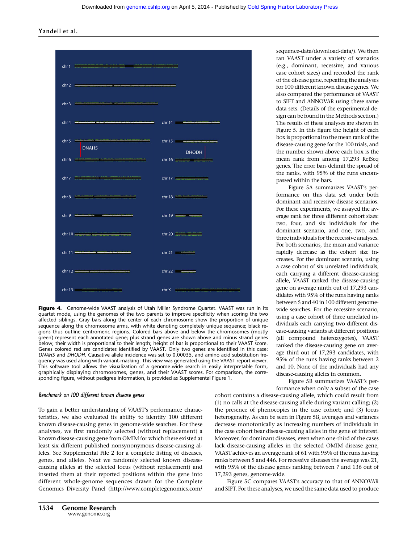

Figure 4. Genome-wide VAAST analysis of Utah Miller Syndrome Quartet. VAAST was run in its quartet mode, using the genomes of the two parents to improve specificity when scoring the two affected siblings. Gray bars along the center of each chromosome show the proportion of unique sequence along the chromosome arms, with white denoting completely unique sequence; black regions thus outline centromeric regions. Colored bars above and below the chromosomes (mostly green) represent each annotated gene; plus strand genes are shown above and minus strand genes below; their width is proportional to their length; height of bar is proportional to their VAAST score. Genes colored red are candidates identified by VAAST. Only two genes are identified in this case: DNAH5 and DHODH. Causative allele incidence was set to 0.00035, and amino acid substitution frequency was used along with variant-masking. This view was generated using the VAAST report viewer. This software tool allows the visualization of a genome-wide search in easily interpretable form, graphically displaying chromosomes, genes, and their VAAST scores. For comparison, the corresponding figure, without pedigree information, is provided as Supplemental Figure 1.

#### Benchmark on 100 different known disease genes

To gain a better understanding of VAAST's performance characteristics, we also evaluated its ability to identify 100 different known disease-causing genes in genome-wide searches. For these analyses, we first randomly selected (without replacement) a known disease-causing gene from OMIM for which there existed at least six different published nonsynonymous disease-causing alleles. See Supplemental File 2 for a complete listing of diseases, genes, and alleles. Next we randomly selected known diseasecausing alleles at the selected locus (without replacement) and inserted them at their reported positions within the gene into different whole-genome sequences drawn for the Complete Genomics Diversity Panel ([http://www.completegenomics.com/](http://www.completegenomics.com/sequence-data/download-data/)

[sequence-data/download-data/](http://www.completegenomics.com/sequence-data/download-data/)). We then ran VAAST under a variety of scenarios (e.g., dominant, recessive, and various case cohort sizes) and recorded the rank of the disease gene, repeating the analyses for 100 different known disease genes. We also compared the performance of VAAST to SIFT and ANNOVAR using these same data sets. (Details of the experimental design can be found in the Methods section.) The results of these analyses are shown in Figure 5. In this figure the height of each box is proportional to the mean rank of the disease-causing gene for the 100 trials, and the number shown above each box is the mean rank from among 17,293 RefSeq genes. The error bars delimit the spread of the ranks, with 95% of the runs encompassed within the bars.

Figure 5A summarizes VAAST's performance on this data set under both dominant and recessive disease scenarios. For these experiments, we assayed the average rank for three different cohort sizes: two, four, and six individuals for the dominant scenario, and one, two, and three individuals for the recessive analyses. For both scenarios, the mean and variance rapidly decrease as the cohort size increases. For the dominant scenario, using a case cohort of six unrelated individuals, each carrying a different disease-causing allele, VAAST ranked the disease-causing gene on average ninth out of 17,293 candidates with 95% of the runs having ranks between 5 and 40 in 100 different genomewide searches. For the recessive scenario, using a case cohort of three unrelated individuals each carrying two different disease-causing variants at different positions (all compound heterozygotes), VAAST ranked the disease-causing gene on average third out of 17,293 candidates, with 95% of the runs having ranks between 2 and 10. None of the individuals had any disease-causing alleles in common.

Figure 5B summarizes VAAST's performance when only a subset of the case

cohort contains a disease-causing allele, which could result from (1) no calls at the disease-causing allele during variant calling; (2) the presence of phenocopies in the case cohort; and (3) locus heterogeneity. As can be seen in Figure 5B, averages and variances decrease monotonically as increasing numbers of individuals in the case cohort bear disease-causing alleles in the gene of interest. Moreover, for dominant diseases, even when one-third of the cases lack disease-causing alleles in the selected OMIM disease gene, VAAST achieves an average rank of 61 with 95% of the runs having ranks between 5 and 446. For recessive diseases the average was 21, with 95% of the disease genes ranking between 7 and 136 out of 17,293 genes, genome-wide.

Figure 5C compares VAAST's accuracy to that of ANNOVAR and SIFT. For these analyses, we used the same data used to produce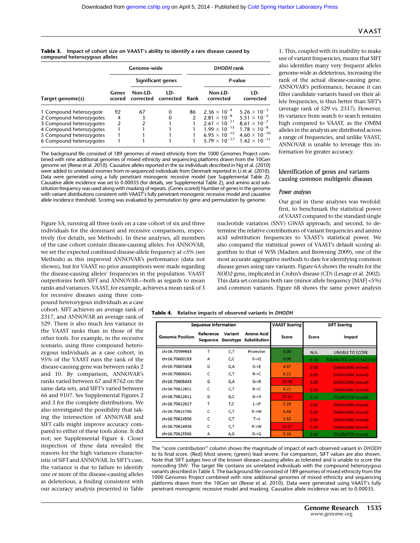Table 3. Impact of cohort size on VAAST's ability to identify a rare disease caused by compound heterozygous alleles

|                          | Genome-wide     |                      |                   |               | DHODH rank                                    |                        |  |  |
|--------------------------|-----------------|----------------------|-------------------|---------------|-----------------------------------------------|------------------------|--|--|
|                          |                 |                      | Significant genes |               |                                               | P-value                |  |  |
| Target genome(s)         | Genes<br>scored | Non-LD-<br>corrected | LD-<br>corrected  | Rank          | Non-LD-<br>corrected                          | LD-<br>corrected       |  |  |
| 1 Compound heterozygote  | 92              | 67                   | 0                 | 86            | $2.36 \times 10^{-4}$                         | $5.26 \times 10^{-3}$  |  |  |
| 2 Compound heterozygotes | 4               |                      |                   | $\mathfrak z$ | $2.81 \times 10^{-8}$                         | $5.51 \times 10^{-5}$  |  |  |
| 3 Compound heterozygotes | $\mathcal{P}$   |                      |                   |               | $2.61 \times 10^{-11}$                        | $8.61 \times 10^{-7}$  |  |  |
| 4 Compound heterozygotes |                 |                      |                   |               | $1.99 \times 10^{-15}$                        | $1.78 \times 10^{-8}$  |  |  |
| 5 Compound heterozygotes |                 |                      |                   |               | $6.95 \times 10^{-15}$                        | $4.60 \times 10^{-10}$ |  |  |
| 6 Compound heterozygotes |                 |                      |                   |               | $5.79 \times 10^{-17}$ 1.42 $\times 10^{-11}$ |                        |  |  |

The background file consisted of 189 genomes of mixed ethnicity from the 1000 Genomes Project combined with nine additional genomes of mixed ethnicity and sequencing platforms drawn from the 10Gen genome set (Reese et al. 2010). Causative alleles reported in the six individuals described in Ng et al. (2010) were added to unrelated exomes from re-sequenced individuals from Denmark reported in Li et al. (2010). Data were generated using a fully penetrant monogenic recessive model (see Supplemental Table 2). Causative allele incidence was set to 0.00035 (for details, see Supplemental Table 2), and amino acid substitution frequency was used along with masking of repeats. (Genes scored) Number of genes in the genome with variant distributions consistent with VAAST's fully penetrant monogenic recessive model and causative allele incidence threshold. Scoring was evaluated by permutation by gene and permutation by genome.

Figure 5A, running all three tools on a case cohort of six and three individuals for the dominant and recessive comparisons, respectively (for details, see Methods). In these analyses, all members of the case cohort contain disease-causing alleles. For ANNOVAR, we set the expected combined disease-allele frequency at <5% (see Methods) as this improved ANNOVAR's performance (data not shown), but for VAAST no prior assumptions were made regarding the disease-causing alleles' frequencies in the population. VAAST outperforms both SIFT and ANNOVAR—both as regards to mean ranks and variances. VAAST, for example, achieves a mean rank of 3

for recessive diseases using three compound heterozygous individuals as a case cohort. SIFT achieves an average rank of 2317, and ANNOVAR an average rank of 529. There is also much less variance in the VAAST ranks than in those of the other tools. For example, in the recessive scenario, using three compound heterozygous individuals as a case cohort, in 95% of the VAAST runs the rank of the disease-causing gene was between ranks 2 and 10. By comparison, ANNOVAR's ranks varied between 67 and 8762 on the same data sets, and SIFT's varied between 66 and 9107. See Supplemental Figures 2 and 3 for the complete distributions. We also investigated the possibility that taking the intersection of ANNOVAR and SIFT calls might improve accuracy compared to either of these tools alone. It did not; see Supplemental Figure 4. Closer inspection of these data revealed the reasons for the high variances characteristic of SIFT and ANNOVAR. In SIFT's case, the variance is due to failure to identify one or more of the disease-causing alleles as deleterious, a finding consistent with our accuracy analysis presented in Table 1. This, coupled with its inability to make use of variant frequencies, means that SIFT also identifies many very frequent alleles genome-wide as deleterious, increasing the rank of the actual disease-causing gene. ANNOVAR's performance, because it can filter candidate variants based on their allele frequencies, is thus better than SIFT's (average rank of 529 vs. 2317). However, its variance from search to search remains high compared to VAAST, as the OMIM alleles in the analysis are distributed across a range of frequencies, and unlike VAAST, ANNOVAR is unable to leverage this information for greater accuracy.

## Identification of genes and variants causing common multigenic diseases

## Power analyses

Our goal in these analyses was twofold: first, to benchmark the statistical power of VAAST compared to the standard single

nucleotide variation (SNV) GWAS approach; and second, to determine the relative contributions of variant frequencies and amino acid substitution frequencies to VAAST's statistical power. We also compared the statistical power of VAAST's default scoring algorithm to that of WSS (Madsen and Browning 2009), one of the most accurate aggregative methods to date for identifying common disease genes using rare variants. Figure 6A shows the results for the NOD2 gene, implicated in Crohn's disease (CD) (Lesage et al. 2002). This data set contains both rare (minor allele frequency [MAF] <5%) and common variants. Figure 6B shows the same power analysis

|  |  | Table 4. Relative impacts of observed variants in DHODH |  |
|--|--|---------------------------------------------------------|--|
|--|--|---------------------------------------------------------|--|

| <b>Sequence Information</b> |                       |         |                                     | <b>VAAST Scoring</b> | <b>SIFT Scoring</b> |                          |  |
|-----------------------------|-----------------------|---------|-------------------------------------|----------------------|---------------------|--------------------------|--|
| <b>Genomic Position</b>     | Reference<br>Sequence | Variant | Amino Acid<br>Genotype Substitution | Score                | Impact<br>Score     |                          |  |
| chr16:70599943              | T                     | C.T     | Promoter                            | 0.00                 | N/A                 | <b>UNABLE TO SCORE</b>   |  |
| chr16:70600183              | A                     | C, C    | $K->Q$                              | 0.00                 | 0.19                | TOLERATED (rs3213422:C)] |  |
| chr16:70603484              | G                     | G,A     | $G->E$                              | 4.87                 | 0.05                | <b>DAMAGING (novel)</b>  |  |
| chr16:70606041              | C                     | C, T    | $R->C$                              | 6.21                 | 0.00                | <b>DAMAGING (novel)</b>  |  |
| chr16:70608443              | G                     | G,A     | $G->R$                              | 19.08                | 0.00                | <b>DAMAGING (novel)</b>  |  |
| chr16:70612601              | C                     | C, T    | $R->C$                              | 6.21                 | 0.00                | <b>DAMAGING (novel)</b>  |  |
| chr16:70612611              | G                     | G,C     | $G \rightarrow A$                   | 25.17                | 0.16                | <b>TOLERATED (novel)</b> |  |
| chr16:70612617              | т                     | T,C     | $L->P$                              | 5.19                 | 0.02                | <b>DAMAGING (novel)</b>  |  |
| chr16:70613786              | C                     | C, T    | R > W                               | 6.66                 | 0.02                | <b>DAMAGING (novel)</b>  |  |
| chr16:70614596              | C                     | C, T    | $T->$                               | 3.52                 | 0.00                | <b>DAMAGING (novel)</b>  |  |
| chr16:70614936              | C                     | C, T    | R > W                               | 13.27                | 0.00                | <b>DAMAGING (novel)</b>  |  |
| chr16:70615586              | A                     | A,G     | $D->G$                              | 5.16                 | 0.06                | <b>TOLERATED (novel)</b> |  |

The ''score contribution'' column shows the magnitude of impact of each observed variant in DHODH to its final score. (Red) Most severe; (green) least severe. For comparison, SIFT values are also shown. Note that SIFT judges two of the known disease-causing alleles as tolerated and is unable to score the noncoding SNV. The target file contains six unrelated individuals with the compound heterozygous variants described in Table 3. The background file consisted of 189 genomes of mixed ethnicity from the 1000 Genomes Project combined with nine additional genomes of mixed ethnicity and sequencing platforms drawn from the 10Gen set (Reese et al. 2010). Data were generated using VAAST's fully penetrant monogenic recessive model and masking. Causative allele incidence was set to 0.00035.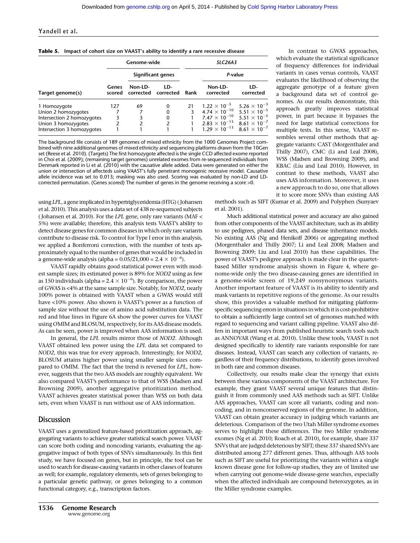|  |  | <b>Table 5.</b> Impact of cohort size on VAAST's ability to identify a rare recessive disease |
|--|--|-----------------------------------------------------------------------------------------------|
|--|--|-----------------------------------------------------------------------------------------------|

|                            | Genome-wide     |                   |                                 | SLC26A3 |                                                      |                  |
|----------------------------|-----------------|-------------------|---------------------------------|---------|------------------------------------------------------|------------------|
|                            |                 | Significant genes |                                 |         | P-value                                              |                  |
| Target genome(s)           | Genes<br>scored | Non-LD-           | LD-<br>corrected corrected Rank |         | Non-LD-<br>corrected                                 | LD-<br>corrected |
| 1 Homozygote               | 127             | 69                | $\Omega$                        | 21      | $1.22 \times 10^{-5}$ 5.26 $\times$ 10 <sup>-3</sup> |                  |
| Union 2 homozygotes        |                 |                   | $\Omega$                        |         | $4.74 \times 10^{-10}$ 5.51 $\times 10^{-5}$         |                  |
| Intersection 2 homozygotes | 3               | 3                 | $\Omega$                        |         | $7.47 \times 10^{-10}$ 5.51 $\times 10^{-5}$         |                  |
| Union 3 homozygotes        | 2               | 2                 | 2                               |         | $2.83 \times 10^{-13}$ 8.61 $\times 10^{-7}$         |                  |
| Intersection 3 homozygotes |                 |                   |                                 |         | $1.29 \times 10^{-13}$ 8.61 $\times 10^{-7}$         |                  |

The background file consists of 189 genomes of mixed ethnicity from the 1000 Genomes Project combined with nine additional genomes of mixed ethnicity and sequencing platforms drawn from the 10Gen set (Reese et al. 2010). (Targets) The first homozygote affected is the single CCD affected exome reported in Choi et al. (2009); (remaining target genomes) unrelated exomes from re-sequenced individuals from Denmark reported in Li et al. (2010) with the causative allele added. Data were generated on either the union or intersection of affecteds using VAAST's fully penetrant monogenic recessive model. Causative allele incidence was set to 0.013; masking was also used. Scoring was evaluated by non-LD and LDcorrected permutation. (Genes scored) The number of genes in the genome receiving a score >0.

using LPL, a gene implicated in hypertriglyceridemia (HTG) ( Johansen et al. 2010). This analysis uses a data set of 438 re-sequenced subjects ( Johansen et al. 2010). For the LPL gene, only rare variants (MAF < 5%) were available; therefore, this analysis tests VAAST's ability to detect disease genes for common diseases in which only rare variants contribute to disease risk. To control for Type I error in this analysis, we applied a Bonferroni correction, with the number of tests approximately equal to the number of genes that would be included in a genome-wide analysis (alpha =  $0.05/21,000 = 2.4 \times 10^{-6}$ ).

VAAST rapidly obtains good statistical power even with modest sample sizes; its estimated power is 89% for NOD2 using as few as 150 individuals (alpha =  $2.4 \times 10^{-6}$ ). By comparison, the power of GWAS is <4% at the same sample size. Notably, for NOD2, nearly 100% power is obtained with VAAST when a GWAS would still have <10% power. Also shown is VAAST's power as a function of sample size without the use of amino acid substitution data. The red and blue lines in Figure 6A show the power curves for VAAST using OMIM and BLOSUM, respectively, for its AAS disease models. As can be seen, power is improved when AAS information is used.

In general, the LPL results mirror those of NOD2. Although VAAST obtained less power using the LPL data set compared to NOD2, this was true for every approach. Interestingly, for NOD2, BLOSUM attains higher power using smaller sample sizes compared to OMIM. The fact that the trend is reversed for LPL, however, suggests that the two AAS models are roughly equivalent. We also compared VAAST's performance to that of WSS (Madsen and Browning 2009), another aggregative prioritization method. VAAST achieves greater statistical power than WSS on both data sets, even when VAAST is run without use of AAS information.

## **Discussion**

VAAST uses a generalized feature-based prioritization approach, aggregating variants to achieve greater statistical search power. VAAST can score both coding and noncoding variants, evaluating the aggregative impact of both types of SNVs simultaneously. In this first study, we have focused on genes, but in principle, the tool can be used to search for disease-causing variants in other classes of features as well; for example, regulatory elements, sets of genes belonging to a particular genetic pathway, or genes belonging to a common functional category, e.g., transcription factors.

In contrast to GWAS approaches, which evaluate the statistical significance of frequency differences for individual variants in cases versus controls, VAAST evaluates the likelihood of observing the aggregate genotype of a feature given a background data set of control genomes. As our results demonstrate, this approach greatly improves statistical power, in part because it bypasses the need for large statistical corrections for multiple tests. In this sense, VAAST resembles several other methods that aggregate variants: CAST (Morgenthaler and Thilly 2007), CMC (Li and Leal 2008), WSS (Madsen and Browning 2009), and KBAC (Liu and Leal 2010). However, in contrast to these methods, VAAST also uses AAS information. Moreover, it uses a new approach to do so, one that allows it to score more SNVs than existing AAS

methods such as SIFT (Kumar et al. 2009) and Polyphen (Sunyaev et al. 2001).

Much additional statistical power and accuracy are also gained from other components of the VAAST architecture, such as its ability to use pedigrees, phased data sets, and disease inheritance models. No existing AAS (Ng and Henikoff 2006) or aggregating method (Morgenthaler and Thilly 2007; Li and Leal 2008; Madsen and Browning 2009; Liu and Leal 2010) has these capabilities. The power of VAAST's pedigree approach is made clear in the quartetbased Miller syndrome analysis shown in Figure 4, where genome-wide only the two disease-causing genes are identified in a genome-wide screen of 19,249 nonsynonymous variants. Another important feature of VAAST is its ability to identify and mask variants in repetitive regions of the genome. As our results show, this provides a valuable method for mitigating platformspecific sequencing errors in situations in which it is cost-prohibitive to obtain a sufficiently large control set of genomes matched with regard to sequencing and variant calling pipeline. VAAST also differs in important ways from published heuristic search tools such as ANNOVAR (Wang et al. 2010). Unlike these tools, VAAST is not designed specifically to identify rare variants responsible for rare diseases. Instead, VAAST can search any collection of variants, regardless of their frequency distributions, to identify genes involved in both rare and common diseases.

Collectively, our results make clear the synergy that exists between these various components of the VAAST architecture. For example, they grant VAAST several unique features that distinguish it from commonly used AAS methods such as SIFT. Unlike AAS approaches, VAAST can score all variants, coding and noncoding, and in nonconserved regions of the genome. In addition, VAAST can obtain greater accuracy in judging which variants are deleterious. Comparison of the two Utah Miller syndrome exomes serves to highlight these differences. The two Miller syndrome exomes (Ng et al. 2010; Roach et al. 2010), for example, share 337 SNVs that are judged deleterious by SIFT; these 337 shared SNVs are distributed among 277 different genes. Thus, although AAS tools such as SIFT are useful for prioritizing the variants within a single known disease gene for follow-up studies, they are of limited use when carrying out genome-wide disease-gene searches, especially when the affected individuals are compound heterozygotes, as in the Miller syndrome examples.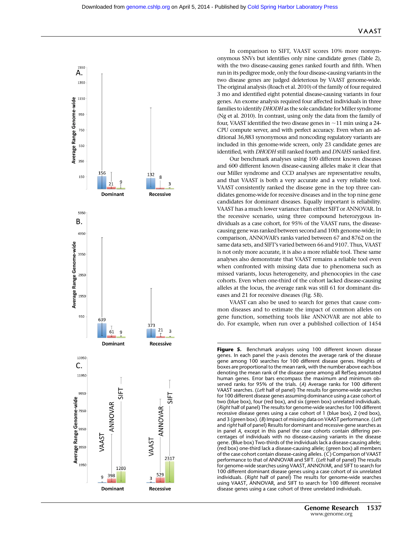## VAAST



In comparison to SIFT, VAAST scores 10% more nonsynonymous SNVs but identifies only nine candidate genes (Table 2), with the two disease-causing genes ranked fourth and fifth. When run in its pedigree mode, only the four disease-causing variants in the two disease genes are judged deleterious by VAAST genome-wide. The original analysis (Roach et al. 2010) of the family of four required 3 mo and identified eight potential disease-causing variants in four genes. An exome analysis required four affected individuals in three families to identify DHODH as the sole candidate for Miller syndrome (Ng et al. 2010). In contrast, using only the data from the family of four, VAAST identified the two disease genes in  $\sim$ 11 min using a 24-CPU compute server, and with perfect accuracy. Even when an additional 36,883 synonymous and noncoding regulatory variants are included in this genome-wide screen, only 23 candidate genes are identified, with DHODH still ranked fourth and DNAH5 ranked first.

Our benchmark analyses using 100 different known diseases and 600 different known disease-causing alleles make it clear that our Miller syndrome and CCD analyses are representative results, and that VAAST is both a very accurate and a very reliable tool. VAAST consistently ranked the disease gene in the top three candidates genome-wide for recessive diseases and in the top nine gene candidates for dominant diseases. Equally important is reliability. VAAST has a much lower variance than either SIFT or ANNOVAR. In the recessive scenario, using three compound heterozygous individuals as a case cohort, for 95% of the VAAST runs, the diseasecausing gene was ranked between second and 10th genome-wide; in comparison, ANNOVAR's ranks varied between 67 and 8762 on the same data sets, and SIFT's varied between 66 and 9107. Thus, VAAST is not only more accurate, it is also a more reliable tool. These same analyses also demonstrate that VAAST remains a reliable tool even when confronted with missing data due to phenomena such as missed variants, locus heterogeneity, and phenocopies in the case cohorts. Even when one-third of the cohort lacked disease-causing alleles at the locus, the average rank was still 61 for dominant diseases and 21 for recessive diseases (Fig. 5B).

VAAST can also be used to search for genes that cause common diseases and to estimate the impact of common alleles on gene function, something tools like ANNOVAR are not able to do. For example, when run over a published collection of 1454

Figure 5. Benchmark analyses using 100 different known disease genes. In each panel the y-axis denotes the average rank of the disease gene among 100 searches for 100 different disease genes. Heights of boxes are proportional to the mean rank, with the number above each box denoting the mean rank of the disease gene among all RefSeq annotated human genes. Error bars encompass the maximum and minimum observed ranks for 95% of the trials. (A) Average ranks for 100 different VAAST searches. (Left half of panel) The results for genome-wide searches for 100 different disease genes assuming dominance using a case cohort of two (blue box), four (red box), and six (green box) unrelated individuals. (Right half of panel) The results for genome-wide searches for 100 different recessive disease genes using a case cohort of 1 (blue box), 2 (red box), and 3 (green box). (B) Impact of missing data on VAAST performance. (Left and right half of panel) Results for dominant and recessive gene searches as in panel A, except in this panel the case cohorts contain differing percentages of individuals with no disease-causing variants in the disease gene. (Blue box) Two-thirds of the individuals lack a disease-causing allele; (red box) one-third lack a disease-causing allele; (green box) all members of the case cohort contain disease-casing alleles. (C ) Comparison of VAAST performance to that of ANNOVAR and SIFT. (Left half of panel) The results for genome-wide searches using VAAST, ANNOVAR, and SIFT to search for 100 different dominant disease genes using a case cohort of six unrelated individuals. (Right half of panel) The results for genome-wide searches using VAAST, ANNOVAR, and SIFT to search for 100 different recessive disease genes using a case cohort of three unrelated individuals.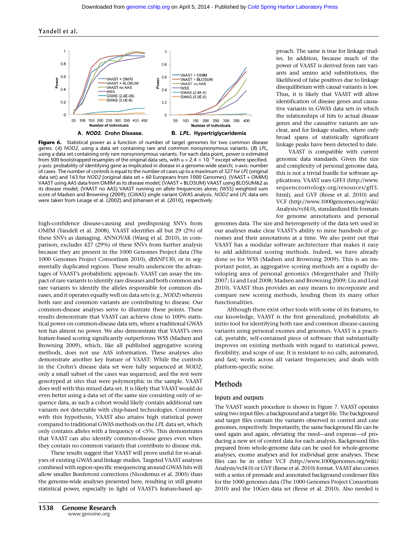

Figure 6. Statistical power as a function of number of target genomes for two common disease genes. (A) NOD2, using a data set containing rare and common nonsynonymous variants. (B) LPL, using a data set containing only rare nonsynonymous variants. For each data point, power is estimated from 500 bootstrapped resamples of the original data sets, with  $\alpha$  = 2.4  $\times$  10<sup>-6</sup> except where specified. y-axis: probability of identifying gene as implicated in disease in a genome-wide search; x-axis: number of cases. The number of controls is equal to the number of cases up to a maximum of 327 for LPL (original data set) and 163 for NOD2 (original data set + 60 Europeans from 1000 Genomes). (VAAST + OMIM) VAAST using AAS data from OMIM as its disease model; (VAAST + BLOSUM) VAAST using BLOSUM62 as its disease model; (VAAST no AAS) VAAST running on allele frequencies alone; (WSS) weighted sum score of Madsen and Browning (2009); (GWAS) single variant GWAS analysis. NOD2 and LPL data sets were taken from Lesage et al. (2002) and Johansen et al. (2010), respectively.

high-confidence disease-causing and predisposing SNVs from OMIM (Yandell et al. 2008), VAAST identifies all but 29 (2%) of these SNVs as damaging. ANNOVAR (Wang et al. 2010), in comparison, excludes 427 (29%) of these SNVs from further analysis because they are present in the 1000 Genomes Project data (The 1000 Genomes Project Consortium 2010), dbSNP130, or in segmentally duplicated regions. These results underscore the advantages of VAAST's probabilistic approach. VAAST can assay the impact of rare variants to identify rare diseases and both common and rare variants to identify the alleles responsible for common diseases, and it operates equally well on data sets (e.g., NOD2) wherein both rare and common variants are contributing to disease. Our common-disease analyses serve to illustrate these points. These results demonstrate that VAAST can achieve close to 100% statistical power on common-disease data sets, where a traditional GWAS test has almost no power. We also demonstrate that VAAST's own feature-based scoring significantly outperforms WSS (Madsen and Browning 2009), which, like all published aggregative scoring methods, does not use AAS information. These analyses also demonstrate another key feature of VAAST: While the controls in the Crohn's disease data set were fully sequenced at NOD2, only a small subset of the cases was sequenced, and the rest were genotyped at sites that were polymorphic in the sample. VAAST does well with this mixed data set. It is likely that VAAST would do even better using a data set of the same size consisting only of sequence data, as such a cohort would likely contain additional rare variants not detectable with chip-based technologies. Consistent with this hypothesis, VAAST also attains high statistical power compared to traditional GWAS methods on the LPL data set, which only contains alleles with a frequency of <5%. This demonstrates that VAAST can also identify common-disease genes even when they contain no common variants that contribute to disease risk.

These results suggest that VAAST will prove useful for re-analyses of existing GWAS and linkage studies. Targeted VAAST analyses combined with region-specific resequencing around GWAS hits will allow smaller Bonferroni corrections (Nicodemus et al. 2005) than the genome-wide analyses presented here, resulting in still greater statistical power, especially in light of VAAST's feature-based approach. The same is true for linkage studies. In addition, because much of the power of VAAST is derived from rare variants and amino acid substitutions, the likelihood of false positives due to linkage disequilibrium with causal variants is low. Thus, it is likely that VAAST will allow identification of disease genes and causative variants in GWAS data sets in which the relationships of hits to actual disease genes and the causative variants are unclear, and for linkage studies, where only broad spans of statistically significant linkage peaks have been detected to date.

VAAST is compatible with current genomic data standards. Given the size and complexity of personal genome data, this is not a trivial hurdle for software applications. VAAST uses GFF3 [\(http://www.](http://www.sequenceontology.org/resources/gff3.html) [sequenceontology.org/resources/gff3.](http://www.sequenceontology.org/resources/gff3.html) [html](http://www.sequenceontology.org/resources/gff3.html)), and GVF (Reese et al. 2010) and VCF ([http://www.1000genomes.org/wiki/](http://www.1000genomes.org/wiki/Analysis/vcf4.0) [Analysis/vcf4.0](http://www.1000genomes.org/wiki/Analysis/vcf4.0)), standardized file formats for genome annotations and personal

genomes data. The size and heterogeneity of the data sets used in our analyses make clear VAAST's ability to mine hundreds of genomes and their annotations at a time. We also point out that VAAST has a modular software architecture that makes it easy to add additional scoring methods. Indeed, we have already done so for WSS (Madsen and Browning 2009). This is an important point, as aggregative scoring methods are a rapidly developing area of personal genomics (Morgenthaler and Thilly 2007; Li and Leal 2008; Madsen and Browning 2009; Liu and Leal 2010). VAAST thus provides an easy means to incorporate and compare new scoring methods, lending them its many other functionalities.

Although there exist other tools with some of its features, to our knowledge, VAAST is the first generalized, probabilistic ab initio tool for identifying both rare and common disease-causing variants using personal exomes and genomes. VAAST is a practical, portable, self-contained piece of software that substantially improves on existing methods with regard to statistical power, flexibility, and scope of use. It is resistant to no calls, automated, and fast; works across all variant frequencies; and deals with platform-specific noise.

## Methods

## Inputs and outputs

The VAAST search procedure is shown in Figure 7. VAAST operates using two input files: a background and a target file. The background and target files contain the variants observed in control and case genomes, respectively. Importantly, the same background file can be used again and again, obviating the need—and expense—of producing a new set of control data for each analysis. Background files prepared from whole-genome data can be used for whole-genome analyses, exome analyses and for individual gene analyses. These files can be in either VCF ([http://www.1000genomes.org/wiki/](http://www.1000genomes.org/wiki/Analysis/vcf4.0) [Analysis/vcf4.0](http://www.1000genomes.org/wiki/Analysis/vcf4.0)) or GVF (Reese et al. 2010) format. VAAST also comes with a series of premade and annotated background condenser files for the 1000 genomes data (The 1000 Genomes Project Consortium 2010) and the 10Gen data set (Reese et al. 2010). Also needed is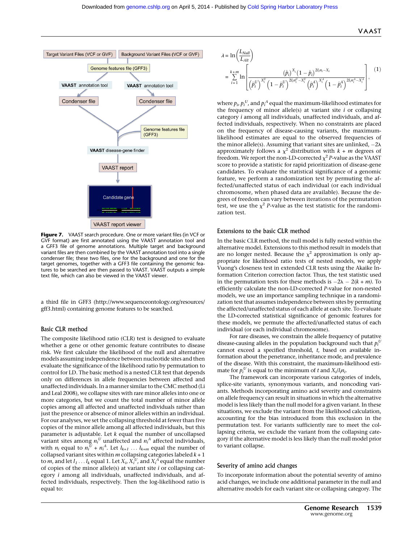

Figure 7. VAAST search procedure. One or more variant files (in VCF or GVF format) are first annotated using the VAAST annotation tool and a GFF3 file of genome annotations. Multiple target and background variant files are then combined by the VAAST annotation tool into a single condenser file; these two files, one for the background and one for the target genomes, together with a GFF3 file containing the genomic features to be searched are then passed to VAAST. VAAST outputs a simple text file, which can also be viewed in the VAAST viewer.

a third file in GFF3 [\(http://www.sequenceontology.org/resources/](http://www.sequenceontology.org/resources/gff3.html) [gff3.html](http://www.sequenceontology.org/resources/gff3.html)) containing genome features to be searched.

#### Basic CLR method

The composite likelihood ratio (CLR) test is designed to evaluate whether a gene or other genomic feature contributes to disease risk. We first calculate the likelihood of the null and alternative models assuming independence between nucleotide sites and then evaluate the significance of the likelihood ratio by permutation to control for LD. The basic method is a nested CLR test that depends only on differences in allele frequencies between affected and unaffected individuals. In a manner similar to the CMC method (Li and Leal 2008), we collapse sites with rare minor alleles into one or more categories, but we count the total number of minor allele copies among all affected and unaffected individuals rather than just the presence or absence of minor alleles within an individual. For our analyses, we set the collapsing threshold at fewer than five copies of the minor allele among all affected individuals, but this parameter is adjustable. Let  $k$  equal the number of uncollapsed variant sites among  $n_i^U$  unaffected and  $n_i^A$  affected individuals, with  $n_i$  equal to  $n_i^U + n_i^A$ . Let  $l_{k+1} \ldots l_{k+m}$  equal the number of collapsed variant sites within  $m$  collapsing categories labeled  $k + 1$ to  $m$ , and let  $l_1 \dots l_k$  equal 1. Let  $X_i$ ,  $X_i^U$ , and  $X_i^A$  equal the number of copies of the minor allele(s) at variant site  $i$  or collapsing category i among all individuals, unaffected individuals, and affected individuals, respectively. Then the log-likelihood ratio is equal to:

$$
\lambda = \ln\left(\frac{L_{Null}}{L_{Alt}}\right)
$$
\n
$$
= \sum_{i=1}^{k+m} \ln\left[\frac{(\hat{p}_i)^{X_i} (1-\hat{p}_i)^{2l_i n_i - X_i}}{\left(\hat{p}_i^U\right)^{X_i^U} \left(1-\hat{p}_i^U\right)^{2l_i n_i^U - X_i^U} \left(\hat{p}_i^A\right)^{X_i^A} \left(1-\hat{p}_i^A\right)^{2l_i n_i^A - X_i^A}}\right],
$$
\n(1)

where  $p_i$ ,  ${p_i}^U$ , and  $p_i^A$  equal the maximum-likelihood estimates for the frequency of minor allele(s) at variant site  $i$  or collapsing category i among all individuals, unaffected individuals, and affected individuals, respectively. When no constraints are placed on the frequency of disease-causing variants, the maximumlikelihood estimates are equal to the observed frequencies of the minor allele(s). Assuming that variant sites are unlinked,  $-2\lambda$ approximately follows a  $\chi^2$  distribution with  $k + m$  degrees of freedom. We report the non-LD-corrected  $\chi^2$  P-value as the VAAST score to provide a statistic for rapid prioritization of disease-gene candidates. To evaluate the statistical significance of a genomic feature, we perform a randomization test by permuting the affected/unaffected status of each individual (or each individual chromosome, when phased data are available). Because the degrees of freedom can vary between iterations of the permutation test, we use the  $\chi^2$  P-value as the test statistic for the randomization test.

#### Extensions to the basic CLR method

In the basic CLR method, the null model is fully nested within the alternative model. Extensions to this method result in models that are no longer nested. Because the  $\chi^2$  approximation is only appropriate for likelihood ratio tests of nested models, we apply Vuong's closeness test in extended CLR tests using the Akaike Information Criterion correction factor. Thus, the test statistic used in the permutation tests for these methods is  $-2\lambda - 2(k + m)$ . To efficiently calculate the non-LD-corrected P-value for non-nested models, we use an importance sampling technique in a randomization test that assumes independence between sites by permuting the affected/unaffected status of each allele at each site. To evaluate the LD-corrected statistical significance of genomic features for these models, we permute the affected/unaffected status of each individual (or each individual chromosome).

For rare diseases, we constrain the allele frequency of putative disease-causing alleles in the population background such that  $p_i^U$ cannot exceed a specified threshold, t, based on available information about the penetrance, inheritance mode, and prevalence of the disease. With this constraint, the maximum-likelihood estimate for  $p_i^U$  is equal to the minimum of t and  $X_i/l_i n_i$ .

The framework can incorporate various categories of indels, splice-site variants, synonymous variants, and noncoding variants. Methods incorporating amino acid severity and constraints on allele frequency can result in situations in which the alternative model is less likely than the null model for a given variant. In these situations, we exclude the variant from the likelihood calculation, accounting for the bias introduced from this exclusion in the permutation test. For variants sufficiently rare to meet the collapsing criteria, we exclude the variant from the collapsing category if the alternative model is less likely than the null model prior to variant collapse.

#### Severity of amino acid changes

To incorporate information about the potential severity of amino acid changes, we include one additional parameter in the null and alternative models for each variant site or collapsing category. The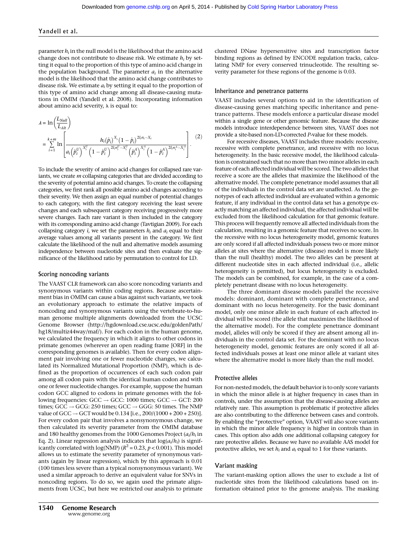parameter  $h_i$  in the null model is the likelihood that the amino acid change does not contribute to disease risk. We estimate  $h_i$  by setting it equal to the proportion of this type of amino acid change in the population background. The parameter  $a_i$  in the alternative model is the likelihood that the amino acid change contributes to disease risk. We estimate  $a_i$  by setting it equal to the proportion of this type of amino acid change among all disease-causing mutations in OMIM (Yandell et al. 2008). Incorporating information about amino acid severity,  $\lambda$  is equal to:

$$
\lambda = \ln\left(\frac{L_{Null}}{L_{Alt}}\right)
$$
\n
$$
= \sum_{i=1}^{k+m} \ln\left[\frac{h_i(\hat{p}_i)^{X_i}(1-\hat{p}_i)^{2l_in_i-X_i}}{a_i(\hat{p}_i^U)^{X_i^U}\left(1-\hat{p}_i^U\right)^{2l_in_i^U-X_i^U}\left(\hat{p}_i^A\right)^{X_i^A}\left(1-\hat{p}_i^A\right)^{2l_in_i^A-X_i^A}}\right].
$$
\n(2)

To include the severity of amino acid changes for collapsed rare variants, we create m collapsing categories that are divided according to the severity of potential amino acid changes. To create the collapsing categories, we first rank all possible amino acid changes according to their severity. We then assign an equal number of potential changes to each category, with the first category receiving the least severe changes and each subsequent category receiving progressively more severe changes. Each rare variant is then included in the category with its corresponding amino acid change (Tavtigian 2009). For each collapsing category *i*, we set the parameters  $h_i$  and  $a_i$  equal to their average values among all variants present in the category. We first calculate the likelihood of the null and alternative models assuming independence between nucleotide sites and then evaluate the significance of the likelihood ratio by permutation to control for LD.

## Scoring noncoding variants

The VAAST CLR framework can also score noncoding variants and synonymous variants within coding regions. Because ascertainment bias in OMIM can cause a bias against such variants, we took an evolutionary approach to estimate the relative impacts of noncoding and synonymous variants using the vertebrate-to-human genome multiple alignments downloaded from the UCSC Genome Browser [\(http://hgdownload.cse.ucsc.edu/goldenPath/](http://hgdownload.cse.ucsc.edu/goldenPath/hg18/multiz44way/maf/) [hg18/multiz44way/maf/](http://hgdownload.cse.ucsc.edu/goldenPath/hg18/multiz44way/maf/)). For each codon in the human genome, we calculated the frequency in which it aligns to other codons in primate genomes (wherever an open reading frame [ORF] in the corresponding genomes is available). Then for every codon alignment pair involving one or fewer nucleotide changes, we calculated its Normalized Mutational Proportion (NMP), which is defined as the proportion of occurrences of each such codon pair among all codon pairs with the identical human codon and with one or fewer nucleotide changes. For example, suppose the human codon GCC aligned to codons in primate genomes with the following frequencies:  $GCC \rightarrow ACC$ : 1000 times;  $GCC \rightarrow GCT$ : 200 times;  $GCC \rightarrow GCG: 250$  times;  $GCC \rightarrow GGG: 50$  times. The NMP value of  $GCC \rightarrow GCT$  would be 0.134 [i.e.,  $200/(1000 + 200 + 250)$ ]. For every codon pair that involves a nonsynonymous change, we then calculated its severity parameter from the OMIM database and 180 healthy genomes from the 1000 Genomes Project  $(a_i/h_i)$  in Eq. 2). Linear regression analysis indicates that  $log(a_i/h_i)$  is significantly correlated with log(NMP)  $(R^2 = 0.23, p < 0.001)$ . This model allows us to estimate the severity parameter of synonymous variants (again by linear regression), which by this approach is 0.01 (100 times less severe than a typical nonsynonymous variant). We used a similar approach to derive an equivalent value for SNVs in noncoding regions. To do so, we again used the primate alignments from UCSC, but here we restricted our analysis to primate clustered DNase hypersensitive sites and transcription factor binding regions as defined by ENCODE regulation tracks, calculating NMP for every conserved trinucleotide. The resulting severity parameter for these regions of the genome is 0.03.

## Inheritance and penetrance patterns

VAAST includes several options to aid in the identification of disease-causing genes matching specific inheritance and penetrance patterns. These models enforce a particular disease model within a single gene or other genomic feature. Because the disease models introduce interdependence between sites, VAAST does not provide a site-based non-LD-corrected P-value for these models.

For recessive diseases, VAAST includes three models: recessive, recessive with complete penetrance, and recessive with no locus heterogeneity. In the basic recessive model, the likelihood calculation is constrained such that no more than two minor alleles in each feature of each affected individual will be scored. The two alleles that receive a score are the alleles that maximize the likelihood of the alternative model. The complete penetrance model assumes that all of the individuals in the control data set are unaffected. As the genotypes of each affected individual are evaluated within a genomic feature, if any individual in the control data set has a genotype exactly matching an affected individual, the affected individual will be excluded from the likelihood calculation for that genomic feature. This process will frequently remove all affected individuals from the calculation, resulting in a genomic feature that receives no score. In the recessive with no locus heterogeneity model, genomic features are only scored if all affected individuals possess two or more minor alleles at sites where the alternative (disease) model is more likely than the null (healthy) model. The two alleles can be present at different nucleotide sites in each affected individual (i.e., allelic heterogeneity is permitted), but locus heterogeneity is excluded. The models can be combined, for example, in the case of a completely penetrant disease with no locus heterogeneity.

The three dominant disease models parallel the recessive models: dominant, dominant with complete penetrance, and dominant with no locus heterogeneity. For the basic dominant model, only one minor allele in each feature of each affected individual will be scored (the allele that maximizes the likelihood of the alternative model). For the complete penetrance dominant model, alleles will only be scored if they are absent among all individuals in the control data set. For the dominant with no locus heterogeneity model, genomic features are only scored if all affected individuals posses at least one minor allele at variant sites where the alternative model is more likely than the null model.

#### Protective alleles

For non-nested models, the default behavior is to only score variants in which the minor allele is at higher frequency in cases than in controls, under the assumption that the disease-causing alleles are relatively rare. This assumption is problematic if protective alleles are also contributing to the difference between cases and controls. By enabling the ''protective'' option, VAAST will also score variants in which the minor allele frequency is higher in controls than in cases. This option also adds one additional collapsing category for rare protective alleles. Because we have no available AAS model for protective alleles, we set  $h_i$  and  $a_i$  equal to 1 for these variants.

## Variant masking

The variant-masking option allows the user to exclude a list of nucleotide sites from the likelihood calculations based on information obtained prior to the genome analysis. The masking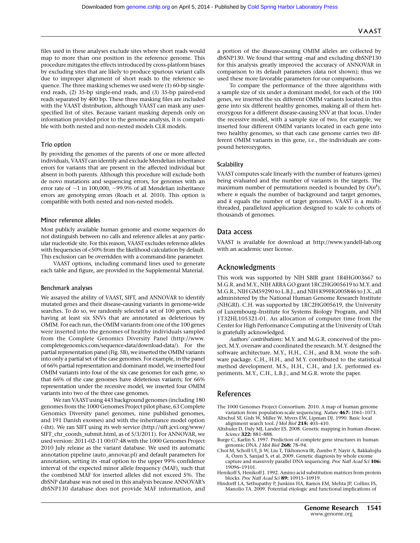files used in these analyses exclude sites where short reads would map to more than one position in the reference genome. This procedure mitigates the effects introduced by cross-platform biases by excluding sites that are likely to produce spurious variant calls due to improper alignment of short reads to the reference sequence. The three masking schemes we used were (1) 60-bp singleend reads, (2) 35-bp single-end reads, and (3) 35-bp paired-end reads separated by 400 bp. These three masking files are included with the VAAST distribution, although VAAST can mask any userspecified list of sites. Because variant masking depends only on information provided prior to the genome analysis, it is compatible with both nested and non-nested models CLR models.

## Trio option

By providing the genomes of the parents of one or more affected individuals, VAAST can identify and exclude Mendelian inheritance errors for variants that are present in the affected individual but absent in both parents. Although this procedure will exclude both de novo mutations and sequencing errors, for genomes with an error rate of  $\sim$ 1 in 100,000,  $\sim$ 99.9% of all Mendelian inheritance errors are genotyping errors (Roach et al. 2010). This option is compatible with both nested and non-nested models.

## Minor reference alleles

Most publicly available human genome and exome sequences do not distinguish between no calls and reference alleles at any particular nucleotide site. For this reason, VAAST excludes reference alleles with frequencies of <50% from the likelihood calculation by default. This exclusion can be overridden with a command-line parameter.

VAAST options, including command lines used to generate each table and figure, are provided in the Supplemental Material.

#### Benchmark analyses

We assayed the ability of VAAST, SIFT, and ANNOVAR to identify mutated genes and their disease-causing variants in genome-wide searches. To do so, we randomly selected a set of 100 genes, each having at least six SNVs that are annotated as deleterious by OMIM. For each run, the OMIM variants from one of the 100 genes were inserted into the genomes of healthy individuals sampled from the Complete Genomics Diversity Panel [\(http://www.](http://www.completegenomics.com/sequence-data/download-data/) [completegenomics.com/sequence-data/download-data/](http://www.completegenomics.com/sequence-data/download-data/)). For the partial representation panel (Fig. 5B), we inserted the OMIM variants into only a partial set of the case genomes. For example, in the panel of 66% partial representation and dominant model, we inserted four OMIM variants into four of the six case genomes for each gene, so that 66% of the case genomes have deleterious variants; for 66% representation under the recessive model, we inserted four OMIM variants into two of the three case genomes.

We ran VAAST using 443 background genomes (including 180 genomes from the 1000 Genomes Project pilot phase, 63 Complete Genomics Diversity panel genomes, nine published genomes, and 191 Danish exomes) and with the inheritance model option (-iht). We ran SIFT using its web service [\(http://sift.jcvi.org/www/](http://sift.jcvi.org/www/SIFT_chr_coords_submit.html) [SIFT\\_chr\\_coords\\_submit.html,](http://sift.jcvi.org/www/SIFT_chr_coords_submit.html) as of 5/3/2011). For ANNOVAR, we used version: 2011-02-11 00:07:48 with the 1000 Genomes Project 2010 July release as the variant database. We used its automatic annotation pipeline (auto\_annovar.pl) and default parameters for annotation, setting its -maf option to the upper 99% confidence interval of the expected minor allele frequency (MAF), such that the combined MAF for inserted alleles did not exceed 5%. The dbSNP database was not used in this analysis because ANNOVAR's dbSNP130 database does not provide MAF information, and a portion of the disease-causing OMIM alleles are collected by dbSNP130. We found that setting -maf and excluding dbSNP130 for this analysis greatly improved the accuracy of ANNOVAR in comparison to its default parameters (data not shown); thus we used these more favorable parameters for our comparisons.

To compare the performance of the three algorithms with a sample size of six under a dominant model, for each of the 100 genes, we inserted the six different OMIM variants located in this gene into six different healthy genomes, making all of them heterozygous for a different disease-causing SNV at that locus. Under the recessive model, with a sample size of two, for example, we inserted four different OMIM variants located in each gene into two healthy genomes, so that each case genome carries two different OMIM variants in this gene, i.e., the individuals are compound heterozygotes.

## **Scalability**

VAAST computes scale linearly with the number of features (genes) being evaluated and the number of variants in the targets. The maximum number of permutations needed is bounded by  $O(n^k)$ , where  $n$  equals the number of background and target genomes, and k equals the number of target genomes. VAAST is a multithreaded, parallelized application designed to scale to cohorts of thousands of genomes.

## Data access

VAAST is available for download at<http://www.yandell-lab.org> with an academic user license.

## Acknowledgments

This work was supported by NIH SBIR grant 1R4HG003667 to M.G.R. and M.Y., NIH ARRA GO grant 1RC2HG005619 to M.Y. and M.G.R., NIH GM59290 to L.B.J., and NIH K99HG005846 to J.X., all administered by the National Human Genome Research Institute (NHGRI). C.H. was supported by 1RC2HG005619, the University of Luxembourg–Institute for Systems Biology Program, and NIH 1T32HL105321-01. An allocation of computer time from the Center for High Performance Computing at the University of Utah is gratefully acknowledged.

Authors' contributions: M.Y. and M.G.R. conceived of the project. M.Y. oversaw and coordinated the research. M.Y. designed the software architecture. M.Y., H.H., C.H., and B.M. wrote the software package. C.H., H.H., and M.Y. contributed to the statistical method development. M.S., H.H., C.H., and J.X. performed experiments. M.Y., C.H., L.B.J., and M.G.R. wrote the paper.

## References

The 1000 Genomes Project Consortium. 2010. A map of human genome variation from population-scale sequencing. Nature 467: 1061–1073.

- Altschul SF, Gish W, Miller W, Myers EW, Lipman DJ. 1990. Basic local alignment search tool. *J Mol Biol* 215: 403-410.
- Altshuler D, Daly MJ, Lander ES. 2008. Genetic mapping in human disease. Science 322: 881–888.
- Burge C, Karlin S. 1997. Prediction of complete gene structures in human genomic DNA. J Mol Biol 268: 78–94.
- Choi M, Scholl UI, Ji W, Liu T, Tikhonova IR, Zumbo P, Nayir A, Bakkaloğlu A, Özen S, Sanjad S, et al. 2009. Genetic diagnosis by whole exome capture and massively parallel DNA sequencing. Proc Natl Acad Sci 106: 19096–19101.
- Henikoff S, Henikoff J. 1992. Amino acid substitution matrices from protein blocks. Proc Natl Acad Sci 89: 10915–10919.
- Hindorff LA, Sethupathy P, Junkins HA, Ramos EM, Mehta JP, Collins FS, Manolio TA. 2009. Potential etiologic and functional implications of